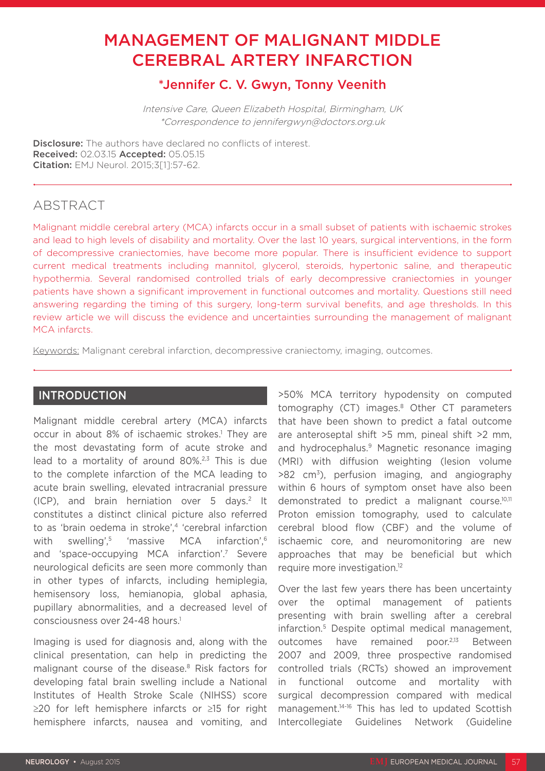# MANAGEMENT OF MALIGNANT MIDDLE CEREBRAL ARTERY INFARCTION

# \*Jennifer C. V. Gwyn, Tonny Veenith

Intensive Care, Queen Elizabeth Hospital, Birmingham, UK \*Correspondence to jennifergwyn@doctors.org.uk

**Disclosure:** The authors have declared no conflicts of interest. Received: 02.03.15 Accepted: 05.05.15 Citation: EMJ Neurol. 2015;3[1]:57-62.

# ABSTRACT

Malignant middle cerebral artery (MCA) infarcts occur in a small subset of patients with ischaemic strokes and lead to high levels of disability and mortality. Over the last 10 years, surgical interventions, in the form of decompressive craniectomies, have become more popular. There is insufficient evidence to support current medical treatments including mannitol, glycerol, steroids, hypertonic saline, and therapeutic hypothermia. Several randomised controlled trials of early decompressive craniectomies in younger patients have shown a significant improvement in functional outcomes and mortality. Questions still need answering regarding the timing of this surgery, long-term survival benefits, and age thresholds. In this review article we will discuss the evidence and uncertainties surrounding the management of malignant MCA infarcts.

Keywords: Malignant cerebral infarction, decompressive craniectomy, imaging, outcomes.

## INTRODUCTION

Malignant middle cerebral artery (MCA) infarcts occur in about 8% of ischaemic strokes.<sup>1</sup> They are the most devastating form of acute stroke and lead to a mortality of around  $80\%^{2,3}$  This is due to the complete infarction of the MCA leading to acute brain swelling, elevated intracranial pressure (ICP), and brain herniation over 5 days.2 It constitutes a distinct clinical picture also referred to as 'brain oedema in stroke'.<sup>4</sup> 'cerebral infarction with swelling',<sup>5</sup> 'massive MCA infarction',<sup>6</sup> and 'space-occupying MCA infarction'.7 Severe neurological deficits are seen more commonly than in other types of infarcts, including hemiplegia, hemisensory loss, hemianopia, global aphasia, pupillary abnormalities, and a decreased level of consciousness over 24-48 hours.1

Imaging is used for diagnosis and, along with the clinical presentation, can help in predicting the malignant course of the disease.<sup>8</sup> Risk factors for developing fatal brain swelling include a National Institutes of Health Stroke Scale (NIHSS) score ≥20 for left hemisphere infarcts or ≥15 for right hemisphere infarcts, nausea and vomiting, and

>50% MCA territory hypodensity on computed tomography (CT) images.<sup>8</sup> Other CT parameters that have been shown to predict a fatal outcome are anteroseptal shift >5 mm, pineal shift >2 mm, and hydrocephalus.<sup>9</sup> Magnetic resonance imaging (MRI) with diffusion weighting (lesion volume  $>82$  cm<sup>3</sup>), perfusion imaging, and angiography within 6 hours of symptom onset have also been demonstrated to predict a malignant course.10,11 Proton emission tomography, used to calculate cerebral blood flow (CBF) and the volume of ischaemic core, and neuromonitoring are new approaches that may be beneficial but which require more investigation.<sup>12</sup>

Over the last few years there has been uncertainty over the optimal management of patients presenting with brain swelling after a cerebral infarction.5 Despite optimal medical management, outcomes have remained poor.2,13 Between 2007 and 2009, three prospective randomised controlled trials (RCTs) showed an improvement in functional outcome and mortality with surgical decompression compared with medical management.14-16 This has led to updated Scottish Intercollegiate Guidelines Network (Guideline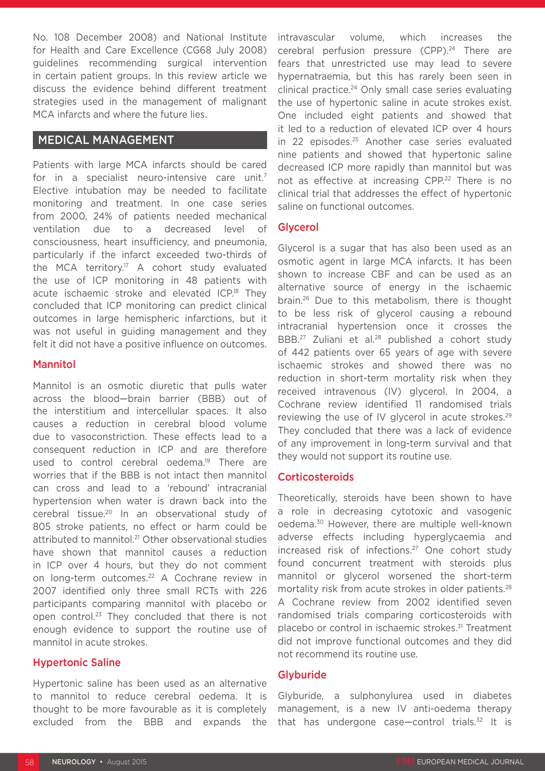No. 108 December 2008) and National Institute for Health and Care Excellence (CG68 July 2008) guidelines recommending surgical intervention in certain patient groups. In this review article we discuss the evidence behind different treatment strategies used in the management of malignant MCA infarcts and where the future lies.

## MEDICAL MANAGEMENT

Patients with large MCA infarcts should be cared for in a specialist neuro-intensive care unit.<sup>7</sup> Elective intubation may be needed to facilitate monitoring and treatment. In one case series from 2000, 24% of patients needed mechanical ventilation due to a decreased level of consciousness, heart insufficiency, and pneumonia, particularly if the infarct exceeded two-thirds of the MCA territory.<sup>17</sup> A cohort study evaluated the use of ICP monitoring in 48 patients with acute ischaemic stroke and elevated ICP.<sup>18</sup> They concluded that ICP monitoring can predict clinical outcomes in large hemispheric infarctions, but it was not useful in guiding management and they felt it did not have a positive influence on outcomes.

#### Mannitol

Mannitol is an osmotic diuretic that pulls water across the blood—brain barrier (BBB) out of the interstitium and intercellular spaces. It also causes a reduction in cerebral blood volume due to vasoconstriction. These effects lead to a consequent reduction in ICP and are therefore used to control cerebral oedema.<sup>19</sup> There are worries that if the BBB is not intact then mannitol can cross and lead to a 'rebound' intracranial hypertension when water is drawn back into the cerebral tissue.20 In an observational study of 805 stroke patients, no effect or harm could be attributed to mannitol.<sup>21</sup> Other observational studies have shown that mannitol causes a reduction in ICP over 4 hours, but they do not comment on long-term outcomes.22 A Cochrane review in 2007 identified only three small RCTs with 226 participants comparing mannitol with placebo or open control.23 They concluded that there is not enough evidence to support the routine use of mannitol in acute strokes.

### Hypertonic Saline

Hypertonic saline has been used as an alternative to mannitol to reduce cerebral oedema. It is thought to be more favourable as it is completely excluded from the BBB and expands the

intravascular volume, which increases the cerebral perfusion pressure (CPP).<sup>24</sup> There are fears that unrestricted use may lead to severe hypernatraemia, but this has rarely been seen in clinical practice.<sup>24</sup> Only small case series evaluating the use of hypertonic saline in acute strokes exist. One included eight patients and showed that it led to a reduction of elevated ICP over 4 hours in 22 episodes.25 Another case series evaluated nine patients and showed that hypertonic saline decreased ICP more rapidly than mannitol but was not as effective at increasing CPP.<sup>22</sup> There is no clinical trial that addresses the effect of hypertonic saline on functional outcomes.

### Glycerol

Glycerol is a sugar that has also been used as an osmotic agent in large MCA infarcts. It has been shown to increase CBF and can be used as an alternative source of energy in the ischaemic brain.26 Due to this metabolism, there is thought to be less risk of glycerol causing a rebound intracranial hypertension once it crosses the BBB.<sup>27</sup> Zuliani et al.<sup>28</sup> published a cohort study of 442 patients over 65 years of age with severe ischaemic strokes and showed there was no reduction in short-term mortality risk when they received intravenous (IV) glycerol. In 2004, a Cochrane review identified 11 randomised trials reviewing the use of IV glycerol in acute strokes.<sup>29</sup> They concluded that there was a lack of evidence of any improvement in long-term survival and that they would not support its routine use.

### **Corticosteroids**

Theoretically, steroids have been shown to have a role in decreasing cytotoxic and vasogenic oedema.30 However, there are multiple well-known adverse effects including hyperglycaemia and increased risk of infections.<sup>27</sup> One cohort study found concurrent treatment with steroids plus mannitol or glycerol worsened the short-term mortality risk from acute strokes in older patients.<sup>28</sup> A Cochrane review from 2002 identified seven randomised trials comparing corticosteroids with placebo or control in ischaemic strokes.<sup>31</sup> Treatment did not improve functional outcomes and they did not recommend its routine use.

### **Glyburide**

Glyburide, a sulphonylurea used in diabetes management, is a new IV anti-oedema therapy that has undergone case—control trials.<sup>32</sup> It is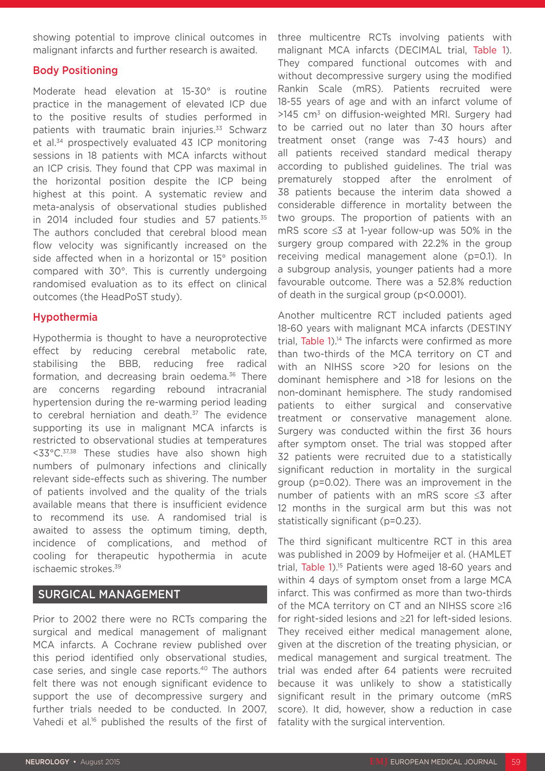showing potential to improve clinical outcomes in malignant infarcts and further research is awaited.

### Body Positioning

Moderate head elevation at 15-30° is routine practice in the management of elevated ICP due to the positive results of studies performed in patients with traumatic brain injuries.<sup>33</sup> Schwarz et al.34 prospectively evaluated 43 ICP monitoring sessions in 18 patients with MCA infarcts without an ICP crisis. They found that CPP was maximal in the horizontal position despite the ICP being highest at this point. A systematic review and meta-analysis of observational studies published in 2014 included four studies and 57 patients. $35$ The authors concluded that cerebral blood mean flow velocity was significantly increased on the side affected when in a horizontal or 15° position compared with 30°. This is currently undergoing randomised evaluation as to its effect on clinical outcomes (the HeadPoST study).

#### Hypothermia

Hypothermia is thought to have a neuroprotective effect by reducing cerebral metabolic rate, stabilising the BBB, reducing free radical formation, and decreasing brain oedema. $36$  There are concerns regarding rebound intracranial hypertension during the re-warming period leading to cerebral herniation and death.<sup>37</sup> The evidence supporting its use in malignant MCA infarcts is restricted to observational studies at temperatures <33°C.37,38 These studies have also shown high numbers of pulmonary infections and clinically relevant side-effects such as shivering. The number of patients involved and the quality of the trials available means that there is insufficient evidence to recommend its use. A randomised trial is awaited to assess the optimum timing, depth, incidence of complications, and method of cooling for therapeutic hypothermia in acute ischaemic strokes.39

### SURGICAL MANAGEMENT

Prior to 2002 there were no RCTs comparing the surgical and medical management of malignant MCA infarcts. A Cochrane review published over this period identified only observational studies, case series, and single case reports.40 The authors felt there was not enough significant evidence to support the use of decompressive surgery and further trials needed to be conducted. In 2007, Vahedi et al.<sup>16</sup> published the results of the first of three multicentre RCTs involving patients with malignant MCA infarcts (DECIMAL trial, Table 1). They compared functional outcomes with and without decompressive surgery using the modified Rankin Scale (mRS). Patients recruited were 18-55 years of age and with an infarct volume of >145 cm3 on diffusion-weighted MRI. Surgery had to be carried out no later than 30 hours after treatment onset (range was 7-43 hours) and all patients received standard medical therapy according to published guidelines. The trial was prematurely stopped after the enrolment of 38 patients because the interim data showed a considerable difference in mortality between the two groups. The proportion of patients with an mRS score ≤3 at 1-year follow-up was 50% in the surgery group compared with 22.2% in the group receiving medical management alone (p=0.1). In a subgroup analysis, younger patients had a more favourable outcome. There was a 52.8% reduction of death in the surgical group (p<0.0001).

Another multicentre RCT included patients aged 18-60 years with malignant MCA infarcts (DESTINY trial, Table  $1$ ).<sup>14</sup> The infarcts were confirmed as more than two-thirds of the MCA territory on CT and with an NIHSS score >20 for lesions on the dominant hemisphere and >18 for lesions on the non-dominant hemisphere. The study randomised patients to either surgical and conservative treatment or conservative management alone. Surgery was conducted within the first 36 hours after symptom onset. The trial was stopped after 32 patients were recruited due to a statistically significant reduction in mortality in the surgical group (p=0.02). There was an improvement in the number of patients with an mRS score ≤3 after 12 months in the surgical arm but this was not statistically significant (p=0.23).

The third significant multicentre RCT in this area was published in 2009 by Hofmeijer et al. (HAMLET trial, Table 1).<sup>15</sup> Patients were aged 18-60 years and within 4 days of symptom onset from a large MCA infarct. This was confirmed as more than two-thirds of the MCA territory on CT and an NIHSS score ≥16 for right-sided lesions and ≥21 for left-sided lesions. They received either medical management alone, given at the discretion of the treating physician, or medical management and surgical treatment. The trial was ended after 64 patients were recruited because it was unlikely to show a statistically significant result in the primary outcome (mRS score). It did, however, show a reduction in case fatality with the surgical intervention.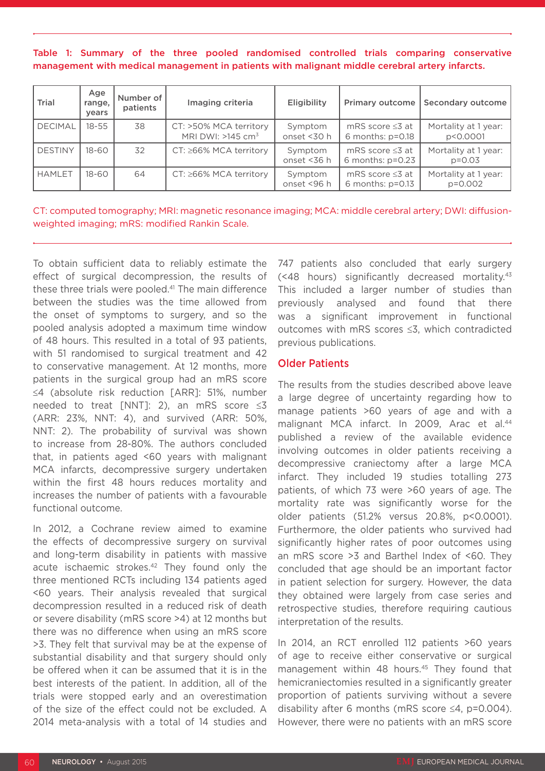Table 1: Summary of the three pooled randomised controlled trials comparing conservative management with medical management in patients with malignant middle cerebral artery infarcts.

| Trial          | Age<br>range,<br>vears | Number of<br>patients | Imaging criteria                                          | Eligibility            | <b>Primary outcome</b>                      | Secondary outcome                  |
|----------------|------------------------|-----------------------|-----------------------------------------------------------|------------------------|---------------------------------------------|------------------------------------|
| <b>DECIMAL</b> | $18 - 55$              | 38                    | CT: >50% MCA territory<br>MRI DWI: $>145$ cm <sup>3</sup> | Symptom<br>onset <30 h | mRS score $\leq 3$ at<br>6 months: $p=0.18$ | Mortality at 1 year:<br>p<0.0001   |
| DESTINY        | 18-60                  | 32                    | CT: ≥66% MCA territory                                    | Symptom<br>onset <36 h | mRS score $\leq 3$ at<br>6 months: $p=0.23$ | Mortality at 1 year:<br>$p = 0.03$ |
| <b>HAMLET</b>  | 18-60                  | 64                    | $CT: \ge 66\%$ MCA territory                              | Symptom<br>onset <96 h | mRS score $\leq 3$ at<br>6 months: $p=0.13$ | Mortality at 1 year:<br>$p=0.002$  |

CT: computed tomography; MRI: magnetic resonance imaging; MCA: middle cerebral artery; DWI: diffusionweighted imaging; mRS: modified Rankin Scale.

To obtain sufficient data to reliably estimate the effect of surgical decompression, the results of these three trials were pooled.<sup>41</sup> The main difference between the studies was the time allowed from the onset of symptoms to surgery, and so the pooled analysis adopted a maximum time window of 48 hours. This resulted in a total of 93 patients, with 51 randomised to surgical treatment and 42 to conservative management. At 12 months, more patients in the surgical group had an mRS score ≤4 (absolute risk reduction [ARR]: 51%, number needed to treat [NNT]: 2), an mRS score ≤3 (ARR: 23%, NNT: 4), and survived (ARR: 50%, NNT: 2). The probability of survival was shown to increase from 28-80%. The authors concluded that, in patients aged <60 years with malignant MCA infarcts, decompressive surgery undertaken within the first 48 hours reduces mortality and increases the number of patients with a favourable functional outcome.

In 2012, a Cochrane review aimed to examine the effects of decompressive surgery on survival and long-term disability in patients with massive acute ischaemic strokes.<sup>42</sup> They found only the three mentioned RCTs including 134 patients aged <60 years. Their analysis revealed that surgical decompression resulted in a reduced risk of death or severe disability (mRS score >4) at 12 months but there was no difference when using an mRS score >3. They felt that survival may be at the expense of substantial disability and that surgery should only be offered when it can be assumed that it is in the best interests of the patient. In addition, all of the trials were stopped early and an overestimation of the size of the effect could not be excluded. A 2014 meta-analysis with a total of 14 studies and

747 patients also concluded that early surgery (<48 hours) significantly decreased mortality.43 This included a larger number of studies than previously analysed and found that there was a significant improvement in functional outcomes with mRS scores ≤3, which contradicted previous publications.

## Older Patients

The results from the studies described above leave a large degree of uncertainty regarding how to manage patients >60 years of age and with a malignant MCA infarct. In 2009, Arac et al.<sup>44</sup> published a review of the available evidence involving outcomes in older patients receiving a decompressive craniectomy after a large MCA infarct. They included 19 studies totalling 273 patients, of which 73 were >60 years of age. The mortality rate was significantly worse for the older patients (51.2% versus 20.8%, p<0.0001). Furthermore, the older patients who survived had significantly higher rates of poor outcomes using an mRS score >3 and Barthel Index of <60. They concluded that age should be an important factor in patient selection for surgery. However, the data they obtained were largely from case series and retrospective studies, therefore requiring cautious interpretation of the results.

In 2014, an RCT enrolled 112 patients >60 years of age to receive either conservative or surgical management within 48 hours.<sup>45</sup> They found that hemicraniectomies resulted in a significantly greater proportion of patients surviving without a severe disability after 6 months (mRS score ≤4, p=0.004). However, there were no patients with an mRS score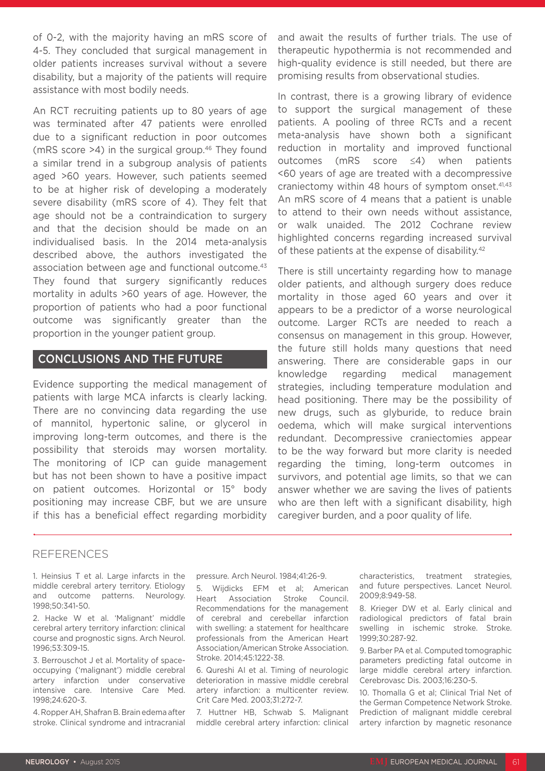of 0-2, with the majority having an mRS score of 4-5. They concluded that surgical management in older patients increases survival without a severe disability, but a majority of the patients will require assistance with most bodily needs.

An RCT recruiting patients up to 80 years of age was terminated after 47 patients were enrolled due to a significant reduction in poor outcomes (mRS score  $>4$ ) in the surgical group.<sup>46</sup> They found a similar trend in a subgroup analysis of patients aged >60 years. However, such patients seemed to be at higher risk of developing a moderately severe disability (mRS score of 4). They felt that age should not be a contraindication to surgery and that the decision should be made on an individualised basis. In the 2014 meta-analysis described above, the authors investigated the association between age and functional outcome.<sup>43</sup> They found that surgery significantly reduces mortality in adults >60 years of age. However, the proportion of patients who had a poor functional outcome was significantly greater than the proportion in the younger patient group.

## CONCLUSIONS AND THE FUTURE

Evidence supporting the medical management of patients with large MCA infarcts is clearly lacking. There are no convincing data regarding the use of mannitol, hypertonic saline, or glycerol in improving long-term outcomes, and there is the possibility that steroids may worsen mortality. The monitoring of ICP can guide management but has not been shown to have a positive impact on patient outcomes. Horizontal or 15° body positioning may increase CBF, but we are unsure if this has a beneficial effect regarding morbidity and await the results of further trials. The use of therapeutic hypothermia is not recommended and high-quality evidence is still needed, but there are promising results from observational studies.

In contrast, there is a growing library of evidence to support the surgical management of these patients. A pooling of three RCTs and a recent meta-analysis have shown both a significant reduction in mortality and improved functional outcomes (mRS score ≤4) when patients <60 years of age are treated with a decompressive craniectomy within 48 hours of symptom onset.<sup>41,43</sup> An mRS score of 4 means that a patient is unable to attend to their own needs without assistance, or walk unaided. The 2012 Cochrane review highlighted concerns regarding increased survival of these patients at the expense of disability.<sup>42</sup>

There is still uncertainty regarding how to manage older patients, and although surgery does reduce mortality in those aged 60 years and over it appears to be a predictor of a worse neurological outcome. Larger RCTs are needed to reach a consensus on management in this group. However, the future still holds many questions that need answering. There are considerable gaps in our knowledge regarding medical management strategies, including temperature modulation and head positioning. There may be the possibility of new drugs, such as glyburide, to reduce brain oedema, which will make surgical interventions redundant. Decompressive craniectomies appear to be the way forward but more clarity is needed regarding the timing, long-term outcomes in survivors, and potential age limits, so that we can answer whether we are saving the lives of patients who are then left with a significant disability, high caregiver burden, and a poor quality of life.

#### REFERENCES

1. Heinsius T et al. Large infarcts in the middle cerebral artery territory. Etiology and outcome patterns. Neurology. 1998;50:341-50.

2. Hacke W et al. 'Malignant' middle cerebral artery territory infarction: clinical course and prognostic signs. Arch Neurol. 1996;53:309-15.

3. Berrouschot J et al. Mortality of spaceoccupying ('malignant') middle cerebral artery infarction under conservative intensive care. Intensive Care Med. 1998;24:620-3.

4. Ropper AH, Shafran B. Brain edema after stroke. Clinical syndrome and intracranial pressure. Arch Neurol. 1984;41:26-9.

5. Wijdicks EFM et al; American Heart Association Stroke Council. Recommendations for the management of cerebral and cerebellar infarction with swelling: a statement for healthcare professionals from the American Heart Association/American Stroke Association. Stroke. 2014;45:1222-38.

6. Qureshi AI et al. Timing of neurologic deterioration in massive middle cerebral artery infarction: a multicenter review. Crit Care Med. 2003;31:272-7.

7. Huttner HB, Schwab S. Malignant middle cerebral artery infarction: clinical characteristics, treatment strategies, and future perspectives. Lancet Neurol. 2009;8:949-58.

8. Krieger DW et al. Early clinical and radiological predictors of fatal brain swelling in ischemic stroke. Stroke. 1999;30:287-92.

9. Barber PA et al. Computed tomographic parameters predicting fatal outcome in large middle cerebral artery infarction. Cerebrovasc Dis. 2003;16:230-5.

10. Thomalla G et al; Clinical Trial Net of the German Competence Network Stroke. Prediction of malignant middle cerebral artery infarction by magnetic resonance